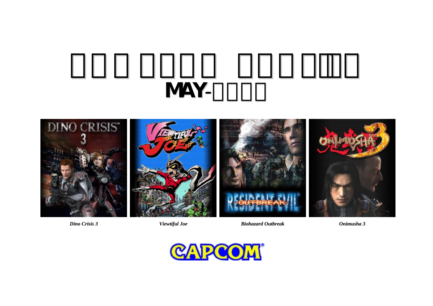# MAY*-*2003





*Dino Crisis 3 Viewtiful Joe Biohazard Outbreak Onimusha 3*



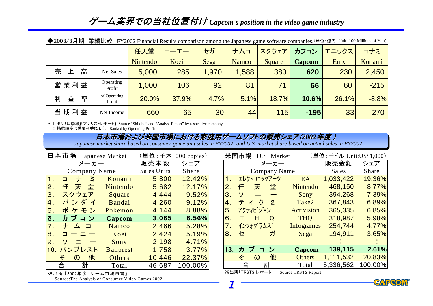| ◆2003/3月期                             | 美稹比戦 FY2002 Financial Results comparison among the Japanese game software companies. (単位: 億円 Unit: 100 Millions of Yen) |       |                 |              |        |               |       |         |
|---------------------------------------|-------------------------------------------------------------------------------------------------------------------------|-------|-----------------|--------------|--------|---------------|-------|---------|
|                                       | 任天堂                                                                                                                     | コーエー  | セガ              | ナムコ          | スクウェア  | カプコン          | エニックス | コナミ     |
|                                       | Nintendo                                                                                                                | Koei  | Sega            | <b>Namco</b> | Square | <b>Capcom</b> | Enix  | Konami  |
| 高<br>売<br>Net Sales<br>ᆂ              | 5,000                                                                                                                   | 285   | 1,970           | 1,588        | 380    | 620           | 230   | 2,450   |
| Operating<br>営業利益<br>Profit           | 1,000                                                                                                                   | 106   | 92              | 81           | 71     | 66            | 60    | $-215$  |
| of Operating<br>率<br>益<br>利<br>Profit | 20.0%                                                                                                                   | 37.9% | 4.7%            | 5.1%         | 18.7%  | 10.6%         | 26.1% | $-8.8%$ |
| 当期利益<br>Net Income                    | 660                                                                                                                     | 65    | 30 <sup>1</sup> | 44           | 115    | $-195$        | 33    | $-270$  |

|  |  | ◆2003/3月期 業績比較 FY2002 Financial Results comparison among the Japanese game software companies. (単位:億円 Unit: 100 Millions of Yen) |  |  |  |  |
|--|--|----------------------------------------------------------------------------------------------------------------------------------|--|--|--|--|
|--|--|----------------------------------------------------------------------------------------------------------------------------------|--|--|--|--|

\* 1. 出所「四季報」「アナリストレポート」 Source "Shikiho" and "Analyst Report" by respective company 2. 掲載順序は営業利益による。 Ranked by Operating Profit

## 日本市場および米国市場における家庭用ゲームソフトの販売シェア(2002*年度 )*

Japanese market share based on consumer game unit sales in FY2002; and U.S. market share based on actual sales in FY2002

1

|               | 日本市場<br>Japanese Market              | (単位: 千本 '000 copies) |             |         |
|---------------|--------------------------------------|----------------------|-------------|---------|
|               | メーカー                                 |                      | 販売本数        | シェア     |
| Company Name  |                                      |                      | Sales Units | Share   |
| $\mathbf 1$ . | ナミ<br>$\Box$                         | Konami               | 5,800       | 12.42%  |
| 2.            | 天堂<br>任                              | Nintendo             | 5,682       | 12.17%  |
| 3.            | スクウェア                                | Square               | 4,444       | 9.52%   |
| 4.            | バンダイ                                 | Bandai               | 4,260       | 9.12%   |
| 5.            | ポケモン                                 | Pokemon              | 4,144       | 8.88%   |
| 6.            | カプコン                                 | Capcom               | 3,065       | 6.56%   |
| 7.            | ナムコ                                  | Namco                | 2,466       | 5.28%   |
| 8.            | $\Box$ $ \bot$                       | Koei                 | 2,424       | 5.19%   |
| 9.            | ソーニー                                 | Sony                 | 2,198       | 4.71%   |
|               | 10. バンプレスト                           | <b>Banprest</b>      | 1,758       | 3.77%   |
|               | 他<br>$\boldsymbol{\mathcal{D}}$<br>そ | Others               | 10,446      | 22.37%  |
|               | 計<br>合                               | Total                | 46,687      | 100.00% |

|  | ※出所「2002年度 ゲーム市場白書」 |
|--|---------------------|
|  |                     |

Source:The Analysis of Consumer Video Games 2002

|                | (単位 : 千ドル Unit:US\$1,000)<br>米国市場 U.S. Market |                            |                |                   |           |         |  |  |
|----------------|-----------------------------------------------|----------------------------|----------------|-------------------|-----------|---------|--|--|
| メーカー           |                                               |                            |                |                   | 販売金額      | シェア     |  |  |
|                |                                               | <b>Company Name</b>        |                |                   | Sales     | Share   |  |  |
| 1 <sub>1</sub> |                                               | エレクトロニックアーツ                |                | EA                | 1,033,422 | 19.36%  |  |  |
| 2.             | 任                                             | 天                          | 堂              | Nintendo          | 468,150   | 8.77%   |  |  |
| 3.             | ソ                                             | . <u>.</u>                 |                | Sony              | 394,268   | 7.39%   |  |  |
| 4.             |                                               | ティク                        | $\overline{2}$ | Take2             | 367,843   | 6.89%   |  |  |
| 5.             |                                               | アクティビジョン                   |                | <b>Activision</b> | 365,335   | 6.85%   |  |  |
| 6.             | T.                                            | Н                          | Q              | <b>THO</b>        | 318,987   | 5.98%   |  |  |
| 7 <sub>1</sub> |                                               | インフォグラムズ                   |                | <b>Infogrames</b> | 254,744   | 4.77%   |  |  |
| 8.             | セ                                             |                            | ガ              | Sega              | 194,911   | 3.65%   |  |  |
|                |                                               |                            |                |                   |           |         |  |  |
|                |                                               | 13. カプコン                   |                | Capcom            | 139,115   | 2.61%   |  |  |
|                | そ                                             | $\boldsymbol{\mathcal{D}}$ | 他              | <b>Others</b>     | 1,111,532 | 20.83%  |  |  |
|                | 合                                             |                            | 計              | Total             | 5,336,562 | 100.00% |  |  |

※出所「TRSTS レポート」 Source:TRSTS Report

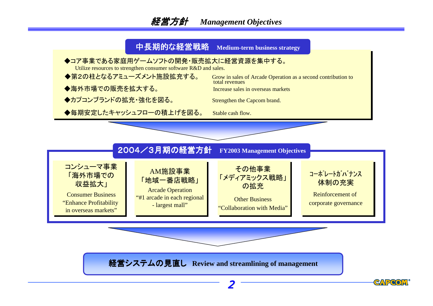# 経営方針 *Management Objectives*

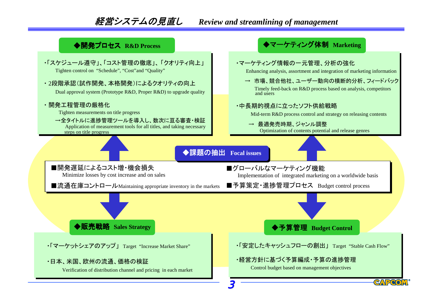# 経営システムの見直し 経営システムの見直し *Review and streamlining of management*

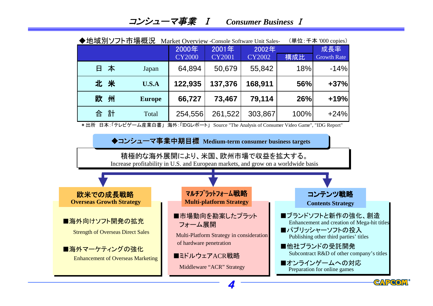| $\mathsf{H}$<br>本<br>北米<br>欧<br>州<br>合 計<br>* 出所 日本:「テレビゲーム産業白書」海外:「IDGレポート」 Source "The Analysis of Consumer Video Game", "IDG Report" | Japan<br>U.S.A<br><b>Europe</b><br>Total | 64,894<br>122,935<br>66,727       | 50,679<br>137,376                                                                                       | 55,842<br>168,911                                                                                                  | 18%<br>56% | $-14%$                                                                                                                                                                                                                                     |  |
|-----------------------------------------------------------------------------------------------------------------------------------------|------------------------------------------|-----------------------------------|---------------------------------------------------------------------------------------------------------|--------------------------------------------------------------------------------------------------------------------|------------|--------------------------------------------------------------------------------------------------------------------------------------------------------------------------------------------------------------------------------------------|--|
|                                                                                                                                         |                                          |                                   |                                                                                                         |                                                                                                                    |            |                                                                                                                                                                                                                                            |  |
|                                                                                                                                         |                                          |                                   |                                                                                                         |                                                                                                                    |            | $+37%$                                                                                                                                                                                                                                     |  |
|                                                                                                                                         |                                          |                                   | 73,467                                                                                                  | 79,114                                                                                                             | 26%        | $+19%$                                                                                                                                                                                                                                     |  |
|                                                                                                                                         |                                          | 254,556                           | 261,522                                                                                                 | 303,867                                                                                                            | 100%       | $+24%$                                                                                                                                                                                                                                     |  |
|                                                                                                                                         |                                          |                                   |                                                                                                         |                                                                                                                    |            |                                                                                                                                                                                                                                            |  |
|                                                                                                                                         |                                          |                                   |                                                                                                         | ◆コンシューマ事業中期目標 Medium-term consumer business targets                                                                |            |                                                                                                                                                                                                                                            |  |
|                                                                                                                                         |                                          |                                   |                                                                                                         | 積極的な海外展開により、米国、欧州市場で収益を拡大する。<br>Increase profitability in U.S. and European markets, and grow on a worldwide basis |            |                                                                                                                                                                                                                                            |  |
|                                                                                                                                         |                                          |                                   |                                                                                                         |                                                                                                                    |            |                                                                                                                                                                                                                                            |  |
| 欧米での成長戦略<br><b>Overseas Growth Strategy</b>                                                                                             |                                          |                                   | マルチプラットフォーム戦略<br><b>Multi-platform Strategy</b>                                                         |                                                                                                                    |            | コンテンツ戦略<br><b>Contents Strategy</b>                                                                                                                                                                                                        |  |
| ■海外向けソフト開発の拡充<br><b>Strength of Overseas Direct Sales</b><br>■海外マーケティングの強化<br><b>Enhancement of Overseas Marketing</b>                  |                                          | フォーム展開<br>of hardware penetration | ■市場動向を勘案したプラット<br>Multi-Platform Strategy in consideration<br>■ミドルウェアACR戦略<br>Middleware "ACR" Strategy |                                                                                                                    |            | ■ブランドソフトと新作の強化、創造<br>Enhancement and creation of Mega-hit titles<br>■パブリッシャーソフトの投入<br>Publishing other third parties' titles<br>■他社ブランドの受託開発<br>Subcontract R&D of other company's titles<br>■オンラインゲームへの対応<br>Preparation for online games |  |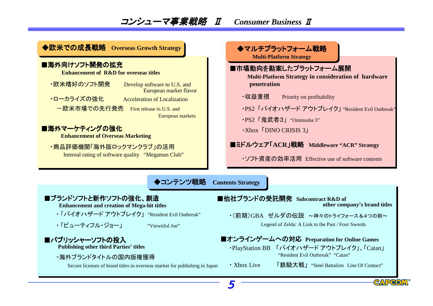# コンシューマ事業戦略 Ⅱ *Consumer Business* <sup>Ⅱ</sup>

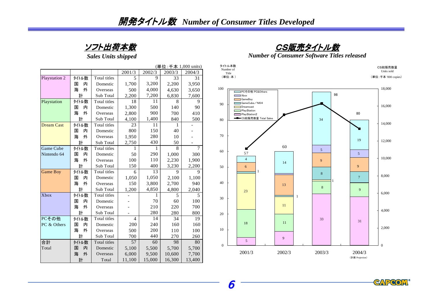

*Sales Units shipped*

|                   |        | (単位: 千本 1,000 units) |                |        |        |        |  |
|-------------------|--------|----------------------|----------------|--------|--------|--------|--|
|                   |        |                      | 2001/3         | 2002/3 | 2003/3 | 2004/3 |  |
| Playstation 2     | タイトル数  | Total titles         | 5              | 9      | 33     | 31     |  |
|                   | 内<br>国 | Domestic             | 1,700          | 3,200  | 2,200  | 3,950  |  |
|                   | 外<br>海 | Overseas             | 500            | 4,000  | 4,630  | 3,650  |  |
|                   | 計      | Sub Total            | 2,200          | 7,200  | 6,830  | 7,600  |  |
| Playstation       | タイトル数  | Total titles         | 18             | 11     | 8      | 9      |  |
|                   | 内<br>国 | Domestic             | 1,300          | 500    | 140    | 90     |  |
|                   | 海<br>外 | Overseas             | 2,800          | 900    | 700    | 410    |  |
|                   | 計      | Sub Total            | 4,100          | 1,400  | 840    | 500    |  |
| <b>Dream Cast</b> | タイトル数  | Total titles         | 23             | 11     | 1      |        |  |
|                   | 国<br>内 | Domestic             | 800            | 150    | 40     |        |  |
|                   | 海<br>外 | Overseas             | 1,950          | 280    | 10     |        |  |
|                   | 計      | Sub Total            | 2,750          | 430    | 50     |        |  |
| <b>Game Cube</b>  | タイトル数  | Total titles         | 1              | 1      | 8      | 7      |  |
| Nintendo 64       | 内<br>国 | Domestic             | 50             | 290    | 1,000  | 300    |  |
|                   | 海<br>外 | Overseas             | 100            | 110    | 2,230  | 1,900  |  |
|                   | 計      | Sub Total            | 150            | 400    | 3,230  | 2,200  |  |
| Game Boy          | タイトル数  | Total titles         | 6              | 13     | 9      | 9      |  |
|                   | 国<br>内 | Domestic             | 1,050          | 1,050  | 2,100  | 1,100  |  |
|                   | 外<br>海 | Overseas             | 150            | 3,800  | 2,700  | 940    |  |
|                   | 計      | Sub Total            | 1,200          | 4,850  | 4,800  | 2,040  |  |
| <b>Xbox</b>       | タイトル数  | Total titles         |                | 1      | 5      | 5      |  |
|                   | 内<br>国 | Domestic             |                | 70     | 60     | 100    |  |
|                   | 海<br>外 | Overseas             |                | 210    | 220    | 700    |  |
|                   | 計      | Sub Total            | $\overline{a}$ | 280    | 280    | 800    |  |
| PCその他             | タイトル数  | Total titles         | $\overline{4}$ | 14     | 34     | 19     |  |
| PC & Others       | 内<br>国 | Domestic             | 200            | 240    | 160    | 160    |  |
|                   | 外<br>海 | Overseas             | 500            | 200    | 110    | 100    |  |
|                   | 計      | Sub Total            | 700            | 440    | 270    | 260    |  |
| 合計                | タイトル数  | Total titles         | 57             | 60     | 98     | 80     |  |
| Total             | 内<br>国 | Domestic             | 5,100          | 5,500  | 5,700  | 5,700  |  |
|                   | 海<br>外 | Overseas             | 6,000          | 9,500  | 10,600 | 7,700  |  |
|                   | 計      | Total                | 11,100         | 15,000 | 16,300 | 13,400 |  |

<u>CS販売タイトル数</u>

*Number of Consumer Software Titles released*



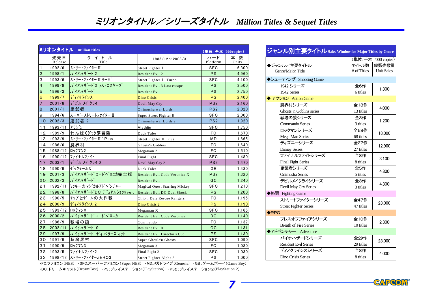|                |                | ミリオンタイトル million titles        |                                      | (単位: 千本 '000copies) |             |
|----------------|----------------|--------------------------------|--------------------------------------|---------------------|-------------|
|                | 発売日<br>Release | タイトル<br>Title                  | $1985/12 \sim 2003/3$                | ハード<br>Platform     | 本数<br>Units |
| $\vert$ 1      | 1992/6         | ストリートファイター II                  | Street Fighter                       | SFC                 | 6,300       |
| $\mathbf{2}$   | 1998/1         | バイオハザード2                       | Resident Evil 2                      | <b>PS</b>           | 4,960       |
| 3              | 1993/6         | ストリートファイター II ターホ <sup>*</sup> | Street Fighter<br>Turbo              | <b>SFC</b>          | 4,100       |
| $\overline{4}$ | 1999/9         | バイオハサ゛ート゛3 ラストエスケープ            | Resident Evil 3 Last escape          | <b>PS</b>           | 3,500       |
| $\overline{5}$ | 1996/3         | バイオハザード                        | Resident Evil                        | PS                  | 2,750       |
| $\overline{6}$ | 1999/7         | ディノクライシス                       | Dino Crisis                          | <b>PS</b>           | 2,400       |
| $\overline{7}$ | 2001/8         | デビル メイ クライ                     | Devil May Cry                        | PS <sub>2</sub>     | 2,160       |
| $\bf8$         | 2001/1         | 鬼武者                            | Onimusha war Lords                   | PS <sub>2</sub>     | 2,020       |
| $\mathsf g$    | 1994/6         | スーパ <sup>2</sup> ーストリートファイター Π | Super Street Fighter                 | <b>SFC</b>          | 2,000       |
| 10             | 2002/3         | 鬼武者 2                          | Onimusha war Lords 2                 | PS <sub>2</sub>     | 1,920       |
| 11             | 1993/11        | アラジン                           | Aladdin                              | <b>SFC</b>          | 1,750       |
| 12             | 1989/9         | わんぱくダック夢冒険                     | Duck Tales                           | FC                  | 1,670       |
| 13             | 1993/9         | ストリートファイター Ⅱ ' Plus            | Street Fighter II ' Plus             | МD                  | 1,665       |
| $14$           | 1986/6         | 魔界村                            | Ghosts'n Goblins                     | FC                  | 1,640       |
| 15             | 1988/12        | ロックマン2                         | Megaman 2                            | FC                  | 1,510       |
| 16             | 1990/12        | ファイナルファイト                      | Final Fight                          | <b>SFC</b>          | 1,480       |
| $17$           | 2003/1         | デビル メイクライ2                     | Devil May Cry 2                      | PS <sub>2</sub>     | 1,470       |
| 18             | 1990/9         | ダックテールス゛                       | Duck Tales                           | GB                  | 1,430       |
| 19             | 2001/3         | バイオハザードコードベロニカ完全版              | Resident Evil Code Veronica X        | PS <sub>2</sub>     | 1,320       |
| 20             | 2002/3         | バイオハザード                        | <b>Resident Evil</b>                 | GC                  | 1,240       |
| 21             | 1992/11        | ミッキーの マジカルアド ヘンチャー             | <b>Magical Quest Starring Mickey</b> | SFC                 | 1,210       |
| 22             | 1998/8         | ハ゛イオハサ゛ート゛DC テ゛゛ュアルショックver.    | Resident Evil DC Dual Shock          | <b>PS</b>           | 1,200       |
| 23             | 1990/5         | チップとデールの大作戦                    | Chip'n Dale Rescue Rangers           | FC                  | 1,195       |
| 24             | 2000/9         | ディノクライシス 2                     | Dino Crisis 2                        | <b>PS</b>           | 1,190       |
| 25             | 1993/12        | <b>ロックマンX</b>                  | Megaman X                            | <b>SFC</b>          | 1,165       |
| 26             | 2000/2         | バイオハザード コードベロニカ                | Resident Evil Code Veronica          | DC                  | 1,140       |
| 27             | 1986/9         | 戦場の狼                           | Commando                             | FC                  | 1,137       |
| 28             | 2002/11        | バイオハザード 0                      | Resident Evil 0                      | GC                  | 1,131       |
| 29             | 1997/9         | バイオハサード ディレクタースカット             | Resident Evil Director's Cut         | <b>PS</b>           | 1,130       |
| 30             | 1991/9         | 超魔界村                           | Super Ghoule'n Ghosts                | <b>SFC</b>          | 1,090       |
| 31             | 1990/9         | ロックマン3                         | Megaman 3                            | FC                  | 1,080       |
| 32             | 1993/5         | ファイナルファイト2                     | Final Fight 2                        | <b>SFC</b>          | 1,030       |
| 33             | 1998/12        | ストリートファイターZERO3                | Street Fighter Alpha 3               | <b>PS</b>           | 1,000       |

| ジャンル別主要タイトル Sales Window for Major Titles by Genre |                      |                                                   |
|----------------------------------------------------|----------------------|---------------------------------------------------|
| ▶ジャンル/主要タイトル<br>Genre/Major Title                  | タイトル数<br># of Titles | (単位:千本 '000 copies)<br>総販売数量<br><b>Unit Sales</b> |
| ◆シュ―ティング Shooting Game                             |                      |                                                   |
| 1942 シリーズ<br>1942 Series                           | 全6作<br>6 titles      | 1,300                                             |
| アクション Action Game                                  |                      |                                                   |
| 魔界村シリーズ<br>Ghosts 'n Goblins series                | 全13作<br>13 titles    | 4,000                                             |
| 戦場の狼シリーズ<br>Commando Series                        | 全3作<br>3 titles      | 1,200                                             |
| ロックマンシリーズ<br>Mega Man Series                       | 全68作<br>68 titles    | 18,000                                            |
| ディズニーシリーズ<br><b>Disney Series</b>                  | 全27作<br>27 titles    | 12,900                                            |
| ファイナルファイトシリーズ<br><b>Final Fight Series</b>         | 全8作<br>8 titles      | 3,100                                             |
| 鬼武者シリーズ<br>Onimusha Series                         | 全5作<br>5 titles      | 4,800                                             |
| デビルメイクライシリーズ<br>Devil May Cry Series               | 全3作<br>3 titles      | 4,300                                             |
| ▶格闘 Fighting Game                                  |                      |                                                   |
| ストリートファイターシリーズ<br><b>Street Fighter Series</b>     | 全47作<br>47 titles    | 23,000                                            |
| $\bigstar$ RPG                                     |                      |                                                   |
| ブレスオブファイアシリーズ<br><b>Breath of Fire Series</b>      | 全10作<br>10 titles    | 2,800                                             |
| ◆アドベンチャー Adventure                                 |                      |                                                   |
| バイオハザードシリーズ<br><b>Resident Evil Series</b>         | 全29作<br>29 titles    | 23,000                                            |
| ディノクライシスシリーズ<br>Dino Crisis Series                 | 全8作<br>8 titles      | 4,000                                             |

・FC:ファミコン(NES) ・SFC:スーパーファミコン(Super NES) ・MD:メガドライブ(Genesis) ・GB : ゲームボーイ(Game Boy) ・DC:ドリームキャスト(DreamCast) ・PS:プレイステーション(PlayStation) ・PS2:プレイステーション2(PlayStation 2)

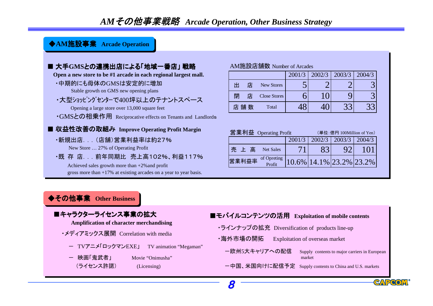## *AM*その他事業戦略 *Arcade Operation, Other Business Strategy*

#### ◆AM施設事業 Arcade Operation

| ■ 大手GMSとの連携出店による「地域一番店」 戦略                                                       | AM施設店舗数 Nu     |   |                    |
|----------------------------------------------------------------------------------|----------------|---|--------------------|
| Open a new store to be #1 arcade in each regional largest mall.                  |                |   |                    |
| ・中期的にも母体のGMSは安定的に増加<br>Stable growth on GMS new opening plans                    | 出              | 店 | New Sto            |
| ・大型ショッピングセンターで400坪以上のテナントスペース                                                    | 閉              | 店 | Close Sto          |
| Opening a large store over 13,000 square feet                                    | 店舗数            |   | Total              |
| •GMSとの相乗作用 Reciprocative effects on Tenants and Landlords                        |                |   |                    |
| ■ 収益性改善の取組み Improve Operating Profit Margin                                      | 営業利益 Operating |   |                    |
| ・新規出店‥‥(店舗)営業利益率は約27%                                                            |                |   |                    |
| New Store  27% of Operating Profit                                               | 売上高            |   | Net Sal            |
| ・既 存 店 前年同期比 売上高102%、利益117%<br>Achieved sales growth more than $+2\%$ and profit | 営業利益率          |   | of Opret<br>Profit |
|                                                                                  |                |   |                    |

## ◆その他事業 Other Business



gross more than +17% at existing arcades on a year to year basis.

- 映画「鬼武者」 Movie "Onimusha" (ライセンス許諾) (Licensing)

#### umber of Arcades

|        |                     | 2001/3 | 2002/3 | 2003/3 | 2004/3 |
|--------|---------------------|--------|--------|--------|--------|
| 出<br>店 | New Stores          |        |        |        |        |
| 閉      | <b>Close Stores</b> |        |        |        |        |
| 店 舗 数  | Total               |        |        | າາ     |        |

| 営業利益 Operating Profit          | (単位:億円 100Million of Yen) |        |                                  |     |
|--------------------------------|---------------------------|--------|----------------------------------|-----|
|                                | 2002/3                    | 2003/3 | 2004/3                           |     |
| 売上高<br><b>Net Sales</b>        | 71                        |        |                                  | 101 |
| of Opreting<br>Profit<br>営業利益率 |                           |        | $10.6\%$   14.1%   23.2%   23.2% |     |



-中国、米国向けに配信予定 Supply contents to China and U.S. markets

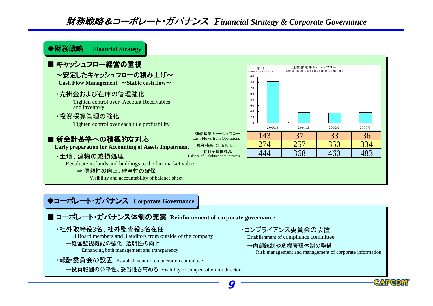財務戦略&コーポレート・ガバナンス *Financial Strategy & Corporate Governance*

#### ◆◆財務財務戦略 戦略 **Financial Strategy Financial Strategy**

#### ■ キャッシュフロー経営の重視

~安定したキャッシュフローの積み上げ~

Cash Flow Management  $\sim$  Stable cash flow $\sim$ 

・売掛金および在庫の管理強化

Tighten control over Account Receivables and inventory

・投資採算管理の強化

Tighten control over each title profitability

## ■ 新会計基準への精極的な対応

**Early preparation for Accounting of Assets Impairment**

・土地、建物の減損処理

有利子負債残高 Balance of Liabilities with Interests

連結営業キャッシュフロー Cash Flows from Operations

億 円 100M illion of Yen

現金残高 Cash Balance

Revaluate its lands and buildings to the fair market value

⇒ 信頼性の向上、健全性の確保

Visibility and accountability of balance sheet

## ◆コーポレート・ガバナンス Corporate Governance

## ■ コーポレート・ガバナンス体制の充実 Reinforcement of corporate governance

#### ・社外取締役3名、社外監査役3名在任

3 Board members and 3 auditors from outside of the company

→経営監視機能の強化、透明性の向上

Enhancing both management and transparency

・報酬委員会の設置 Establishment of remuneration committee

→役員報酬の公平性、妥当性を高める Visibility of compensation for directors

## ・コンプライアンス委員会の設置

Establishment of compliance committee

#### →内部統制や危機管理体制の整備

Risk management and management of corporate information

連結営業キャッシュフロー Consolidated Cash Flows from Operations

2000/3 2001/3 2002/3 2003/3

143 37 33 36 274 257 350 334 444 368 460 483

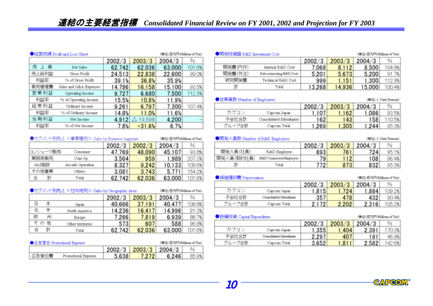|       | ●経営成績 Profit and Loss Sheet |        |          | 《单位:百万円 Miliose of Yes》 |        |
|-------|-----------------------------|--------|----------|-------------------------|--------|
|       |                             | 2002/3 | 2003/3   | 2004/3                  | 96     |
| 売上高   | Net Sales                   | 62,742 | 62,036   | 63,000                  | 101.6% |
| 売上総利益 | Gross Profit                | 24,513 | 22,838   | 22,600                  | 99.0%  |
| 利益率   | % of Gross Profit           | 39.1%  | 36.8%    | 35.9%                   |        |
| 販売管理費 | Sales and G&A Expenses      | 14,786 | 16,158   | 15,100                  | 93.5%  |
| 営業利益  | Operating Income            | 9.727  | 6,680    | 7,500                   | 112.3% |
| 利益率   | % of Operating Income       | 15.5%  | 10.8%    | 11.9%                   |        |
| 経常利益  | Ordinary Income             | 9.261  | 6,797    | 7,300                   | 107.4% |
| 利益率   | % of Ordinary Income        | 14.8%  | 11.0%    | 11.6%                   |        |
| 当期利益  | Net Income                  | 4.912  | 19,598   | 4,200                   |        |
| 利益率   | % of Net Income             | 7.8%   | $-31.6%$ | 6.7%                    |        |

| ●セグメノト別売上 <事業種別> Sales by Business regments |                  |        | 《单位:百万円 Millions of Yes》 |        |        |
|---------------------------------------------|------------------|--------|--------------------------|--------|--------|
|                                             |                  | 2002/3 | 2002/3                   | 2004/3 | 96     |
| ロンシューマ販売                                    | Consumer         | 47.769 | 48,090                   | 45,107 | 93.8%  |
| 業務用販売                                       | Com-Op           | 3,564  | 959                      | 1,989  | 207.3% |
| AM施設                                        | Arcade Operation | 8.327  | 9,242                    | 10,133 | 109.6% |
| その他事業                                       | Others           | 3.081  | 3.743                    | 5,771  | 154.2% |
| 合                                           | Total            | 62.742 | 62.036                   | 63,000 | 101.6% |

| ●セグメノト別売上 <仕向地別> Sales by Geographic Area |   |                   |        | (单位:百万円 Millions of Yea) |        |        |
|-------------------------------------------|---|-------------------|--------|--------------------------|--------|--------|
|                                           |   |                   | 2002/3 | 2003/3                   | 2004/3 | 96     |
|                                           | ж | Japan             | 40,666 | 37,191                   | 40,477 | 108.8% |
| 北                                         | ⋇ | North America     | 14,236 | 16,417                   | 14,996 | 91.3%  |
| 欧                                         | 州 | Europe            | 7,266  | 7,819                    | 6,939  | 88.7%  |
| その                                        | 他 | Other territories | 573    | 607                      | 588    | 96.8%  |
| â                                         | 計 | Total             | 62.742 | 62,036                   | 63.000 | 101.6% |

| ●広告宣伝 Promotional Expense<br>《単位:百万円 Millions of Yea》 |                     |                |                      |       |
|-------------------------------------------------------|---------------------|----------------|----------------------|-------|
|                                                       |                     |                | 2002/3 2003/3 2004/3 |       |
| 広告宣伝費                                                 | Promotional Expense | 5.638<br>7.272 | 6,246                | 85.9% |

| ●開発投資額 R&D Investment Cost |                         |        |        | 《兼位:百万円 Millions of Yea》 |        |
|----------------------------|-------------------------|--------|--------|--------------------------|--------|
|                            |                         | 2002/3 | 2003/3 | 2004/3                   | 96     |
| 開発費 (内作)                   | Internal R&D Cost       | 7.068  | 8.112  | 8,500                    | 104.8% |
| 開発費(外注)                    | Subcontracting R&D Cost | 5,201  | 5,673  | 5,200                    | 91.7%  |
| 研究開発費                      | Technical R&D Cost      | 999    | 1.151  | 1.300                    | 112.9% |
| 計                          | Total                   | 13.268 | 14.936 | 15,000                   | 100.4% |

| ●従業員数 Number of Employees |                           |        |        |        | 《華位: 人 Unit: Persona》 |
|---------------------------|---------------------------|--------|--------|--------|-----------------------|
|                           |                           | 2002/3 | 2003/3 | 2004/3 | 96                    |
| カブコン                      | Cancom Japan              | 1.107  | .162   | 1,086  | 93.5%                 |
| 子会社合計                     | Consolidated Subsidiaries | 162    | 143    | 158    | 110.5%                |
| グループ合計                    | Capcom Total              | 1.269  | 1.3051 | 1.244  | 95.3%                 |

| ●開発人員数 Number of R&D Employees |                         |        |        |        | 《兼位: 人 Unit: Persons》 |
|--------------------------------|-------------------------|--------|--------|--------|-----------------------|
|                                |                         | 2002/3 | 2003/3 | 2004/3 | 96                    |
| 開発入員(社員)                       | R&D Employee            | 693    | 761    | 724    | 95.1%                 |
| 開発人員(契約社員)                     | R&D Contracted Employee | 79     | 112    | 108    | 96.4%                 |
|                                | Total                   | 772    | 873    | 832    | 95.3%                 |

| ● 廃価債却費 Depreciation |                           |        |        |        | 《華位:百万円 Millions of Yea》 |
|----------------------|---------------------------|--------|--------|--------|--------------------------|
|                      |                           | 2002/3 | 2003/3 | 2004/3 | 96                       |
| カブコン                 | Capcom Japan              | 1,815  | .724   | 1,884  | 109.2%                   |
| 子会社合計                | Consolidated Subsidiaries | 357    | 478    | 432    | 90.4%                    |
| グループ合計               | Capcom Total              | 2.172  | 2,202  | 2,316  | 105.2%                   |

| ◆設備投資 Capital Expenditure |                           |        | 《華位:百万円 Milions of Yea》 |        |        |
|---------------------------|---------------------------|--------|-------------------------|--------|--------|
|                           |                           | 2002/3 | 2003/3                  | 2004/3 | 96     |
| カブコン                      | Capcom Japan              | 1.355  | .404                    | 2.391  | 170.3% |
| 子会社合計                     | Consolidated Subsidiaries | 2.297  | 407                     | 191    | 46.9%  |
| グループ合計                    | Capcom Total              | 3.652  | $-811$                  | 2,582  | 142.6% |

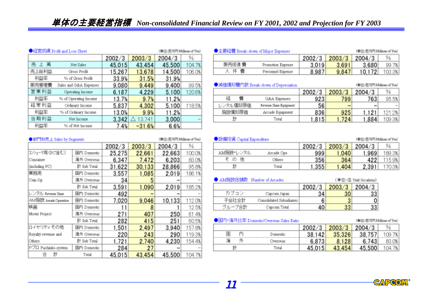**Contract Contract Contract** 

|       | ●経営成績 Profit and Loss Sheet |        |             | (単位:百万円 Millions of Yen) |        |
|-------|-----------------------------|--------|-------------|--------------------------|--------|
|       |                             | 2002/3 | 2003/3      | 2004/3                   | 96     |
| 売上高   | Net Sales                   | 45,015 | 43.454      | 45,500                   | 104.7% |
| 売上総利益 | Gross Profit                | 15,267 | 13,678      | 14,500                   | 106.0% |
| 利益率   | % of Gross Profit           | 33.9%  | 31.5%       | 31.9%                    |        |
| 販売管理費 | Sales and G&A Expenses      | 9,080  | 9,449       | 9,400                    | 99.5%  |
| 営業利益  | Operating Income            | 6.187  | 4.229       | 5,100                    | 120.6% |
| 利益率   | % of Operating Income       | 13.7%  | 9.7%        | 11.2%                    |        |
| 経常利益  | Ordinary Income             | 5,837  | 4,302       | 5,100                    | 118.5% |
| 利益率   | % of Ordinary Income        | 13.0%  | 9.9%        | 11.2%                    |        |
| 当期利益  | Net Income                  | 3,342  | 13,741<br>Δ | 3,000                    |        |
| 利益率   | % of Net Income             | 7.4%   | $-31.6%$    | 6.6%                     |        |

| ●主要経費 Break-down of Major Expenses |               |       | (単位:百万円 Millions of Yea) |        |
|------------------------------------|---------------|-------|--------------------------|--------|
|                                    | 2002/3 2003/3 |       | 2004/3                   | ℅      |
| 販売促進 費<br>Promotion Expense        | 3.019         | 3,691 | 3,680                    | 99.7%  |
| 人体带<br>Personnel Expense           | 8.987         | 9.847 | 10.172                   | 103.3% |

| ●減価償却費內訳 Break-down of Depreciation |        |                 | (単位:百万円 Millions of Yen) |        |
|-------------------------------------|--------|-----------------|--------------------------|--------|
|                                     | 2002/3 | 2003/3          | 2004/3                   | %      |
| 経<br>G&A Expenses                   | 923    | 799             | 763                      | 95.5%  |
| レンタル償却原価<br>Revenue Share Equipment | 56     | $\qquad \qquad$ | <b>Service</b>           |        |
| 施設償却原価<br>Arcade Equipment          | 836    | 925             | $1,12$ .                 | 121.2% |
| 計<br>Total                          | .815   | .724            | 1,884                    | 109.3% |

| ●部門別版上 Sales by Segments<br>(単位:百万円 Millions of Yen) |                        |        |        |        |        |
|------------------------------------------------------|------------------------|--------|--------|--------|--------|
|                                                      |                        | 2002/3 | 2003/3 | 2004/3 | ℅      |
| コンシューマ用 (PC含む)                                       | 国内 Domestic            | 25,275 | 22,661 | 22,663 | 100.0% |
| Consumer                                             | 海外 Overseas            | 6.347  | 7.472  | 6.203  | 83.0%  |
| (including PC)                                       | 計 Sub Total            | 31.622 | 30,133 | 28,866 | 95.8%  |
| 業務用                                                  | 国内 Domestic            | 3,557  | 1.085  | 2,019  | 186.1% |
| Com-Op                                               | 海外 Overseas            | 34     | 5      |        |        |
|                                                      | <b>Strip Sub Total</b> | 3,591  | 1,090  | 2,019  | 185.2% |
| レンタル Revenue Sham                                    | 国内 Domestic            | 492    |        |        |        |
| AM 施設 Areade Operation                               | 国内 Domestic            | 7.020  | 9.046  | 10,133 | 112.0% |
| 映画                                                   | 国内 Domestic            |        |        |        | 12.5%  |
| Movie Project                                        | 海外 Overseas            | 271    | 407    | 250    | 61.4%  |
|                                                      | ft Sub Total           | 282    | 415    | 251    | 60.5%  |
| ロイヤリティその他                                            | 国内 Domestic            | 1,501  | 2,497  | 3,940  | 157.8% |
| Royalty revenue and                                  | 海外 Overseas            | 220    | 243    | 290    | 119.3% |
| Others                                               | <b>Sub Total</b>       | 1.721  | 2,740  | 4,230  | 154.4% |
| Pプロ Pachinko-system                                  | 国内 Domestic            | 284    | 27     |        |        |
|                                                      | Total                  | 45,015 | 43.454 | 45,500 | 104.7% |

| <b>CEMINATION</b> Capital Expenditure<br>(単位: 百万円 Millions of Yea) |             |        |        |        |        |
|--------------------------------------------------------------------|-------------|--------|--------|--------|--------|
|                                                                    |             | 2002/3 | 2003/3 | 2004/3 | %      |
| AM施設 レンタル                                                          | Arcade Ope. | 999    | 1,040  | 1.969  | 189.3% |
| その<br>他                                                            | Others      | 356    | 364    | 422    | 115.9% |
|                                                                    | Total       | 1.355  | 1,404  | 2.391  | 170.3% |

|        | ● AM施設店舗数 Number of Arcades |        |        | (単位:店 Unit: locations) |
|--------|-----------------------------|--------|--------|------------------------|
|        |                             | 2002/3 | 2003/3 | 2004/3                 |
| カブコン   | Capcom Japan                | 34     |        | 33                     |
| 子会社合計  | Consolidated Subsidiaries   | 6      | 3      | 0                      |
| グループ合計 | Capcom Total                | 40     | 33     | 33                     |
|        |                             |        |        |                        |

#### ●国内·海外比率 Domestic/Overseas Sales Ratio

 $\overline{\%}$ 2002/3 2003/3  $2004/3$ 国 内 38,142 35,326 38,757 109.7% Domestic 海 外 6,873 8,128  $6,743$ 83.0% Overseas 43,454  $\overline{\mathbf{a}}$ 45,015 45,500 104.7% Total



(単位:百万円 Millions of Yea)